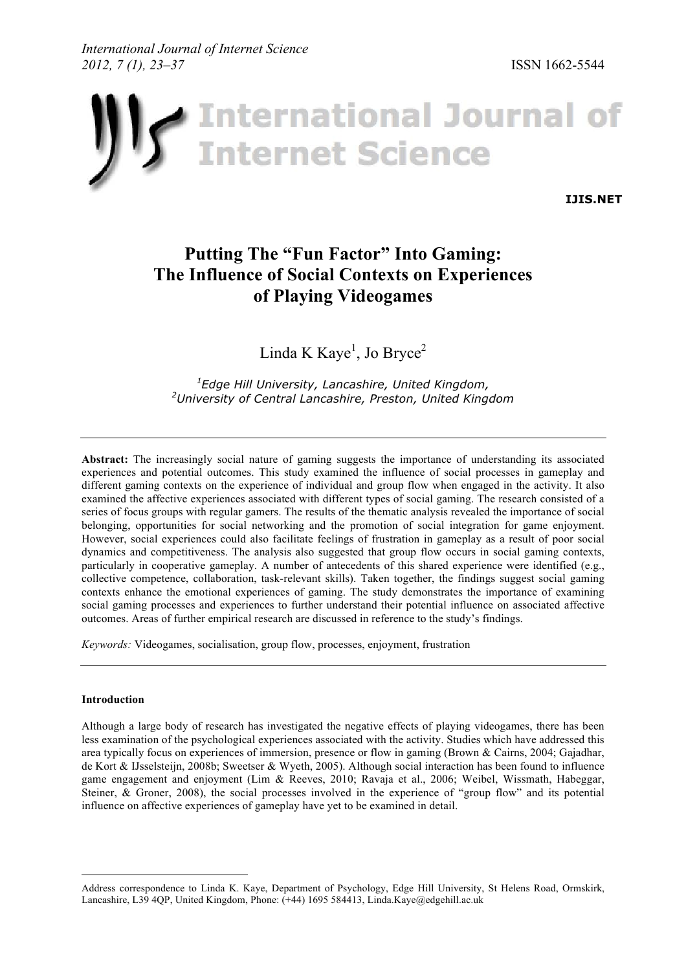

**IJIS.NET**

# **Putting The "Fun Factor" Into Gaming: The Influence of Social Contexts on Experiences of Playing Videogames**

Linda K Kaye<sup>1</sup>, Jo Bryce<sup>2</sup>

*1 Edge Hill University, Lancashire, United Kingdom, 2 University of Central Lancashire, Preston, United Kingdom*

**Abstract:** The increasingly social nature of gaming suggests the importance of understanding its associated experiences and potential outcomes. This study examined the influence of social processes in gameplay and different gaming contexts on the experience of individual and group flow when engaged in the activity. It also examined the affective experiences associated with different types of social gaming. The research consisted of a series of focus groups with regular gamers. The results of the thematic analysis revealed the importance of social belonging, opportunities for social networking and the promotion of social integration for game enjoyment. However, social experiences could also facilitate feelings of frustration in gameplay as a result of poor social dynamics and competitiveness. The analysis also suggested that group flow occurs in social gaming contexts, particularly in cooperative gameplay. A number of antecedents of this shared experience were identified (e.g., collective competence, collaboration, task-relevant skills). Taken together, the findings suggest social gaming contexts enhance the emotional experiences of gaming. The study demonstrates the importance of examining social gaming processes and experiences to further understand their potential influence on associated affective outcomes. Areas of further empirical research are discussed in reference to the study's findings.

*Keywords:* Videogames, socialisation, group flow, processes, enjoyment, frustration

## **Introduction**

Although a large body of research has investigated the negative effects of playing videogames, there has been less examination of the psychological experiences associated with the activity. Studies which have addressed this area typically focus on experiences of immersion, presence or flow in gaming (Brown & Cairns, 2004; Gajadhar, de Kort & IJsselsteijn, 2008b; Sweetser & Wyeth, 2005). Although social interaction has been found to influence game engagement and enjoyment (Lim & Reeves, 2010; Ravaja et al., 2006; Weibel, Wissmath, Habeggar, Steiner, & Groner, 2008), the social processes involved in the experience of "group flow" and its potential influence on affective experiences of gameplay have yet to be examined in detail.

Address correspondence to Linda K. Kaye, Department of Psychology, Edge Hill University, St Helens Road, Ormskirk, Lancashire, L39 4QP, United Kingdom, Phone: (+44) 1695 584413, Linda.Kaye@edgehill.ac.uk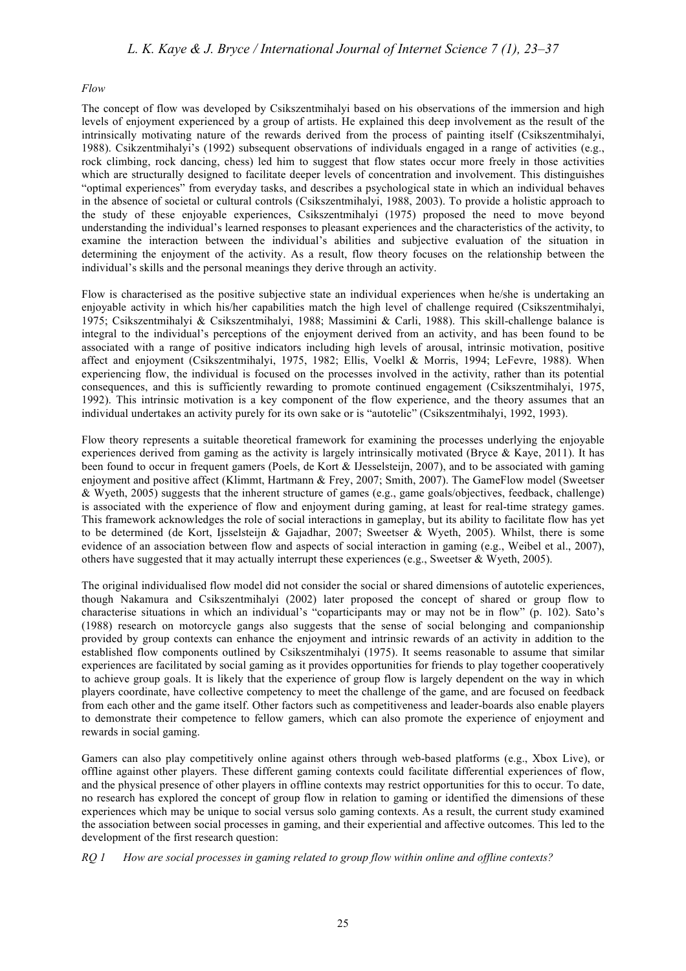#### *Flow*

The concept of flow was developed by Csikszentmihalyi based on his observations of the immersion and high levels of enjoyment experienced by a group of artists. He explained this deep involvement as the result of the intrinsically motivating nature of the rewards derived from the process of painting itself (Csikszentmihalyi, 1988). Csikzentmihalyi's (1992) subsequent observations of individuals engaged in a range of activities (e.g., rock climbing, rock dancing, chess) led him to suggest that flow states occur more freely in those activities which are structurally designed to facilitate deeper levels of concentration and involvement. This distinguishes "optimal experiences" from everyday tasks, and describes a psychological state in which an individual behaves in the absence of societal or cultural controls (Csikszentmihalyi, 1988, 2003). To provide a holistic approach to the study of these enjoyable experiences, Csikszentmihalyi (1975) proposed the need to move beyond understanding the individual's learned responses to pleasant experiences and the characteristics of the activity, to examine the interaction between the individual's abilities and subjective evaluation of the situation in determining the enjoyment of the activity. As a result, flow theory focuses on the relationship between the individual's skills and the personal meanings they derive through an activity.

Flow is characterised as the positive subjective state an individual experiences when he/she is undertaking an enjoyable activity in which his/her capabilities match the high level of challenge required (Csikszentmihalyi, 1975; Csikszentmihalyi & Csikszentmihalyi, 1988; Massimini & Carli, 1988). This skill-challenge balance is integral to the individual's perceptions of the enjoyment derived from an activity, and has been found to be associated with a range of positive indicators including high levels of arousal, intrinsic motivation, positive affect and enjoyment (Csikszentmihalyi, 1975, 1982; Ellis, Voelkl & Morris, 1994; LeFevre, 1988). When experiencing flow, the individual is focused on the processes involved in the activity, rather than its potential consequences, and this is sufficiently rewarding to promote continued engagement (Csikszentmihalyi, 1975, 1992). This intrinsic motivation is a key component of the flow experience, and the theory assumes that an individual undertakes an activity purely for its own sake or is "autotelic" (Csikszentmihalyi, 1992, 1993).

Flow theory represents a suitable theoretical framework for examining the processes underlying the enjoyable experiences derived from gaming as the activity is largely intrinsically motivated (Bryce & Kaye, 2011). It has been found to occur in frequent gamers (Poels, de Kort & IJesselsteijn, 2007), and to be associated with gaming enjoyment and positive affect (Klimmt, Hartmann & Frey, 2007; Smith, 2007). The GameFlow model (Sweetser & Wyeth, 2005) suggests that the inherent structure of games (e.g., game goals/objectives, feedback, challenge) is associated with the experience of flow and enjoyment during gaming, at least for real-time strategy games. This framework acknowledges the role of social interactions in gameplay, but its ability to facilitate flow has yet to be determined (de Kort, Ijsselsteijn & Gajadhar, 2007; Sweetser & Wyeth, 2005). Whilst, there is some evidence of an association between flow and aspects of social interaction in gaming (e.g., Weibel et al., 2007), others have suggested that it may actually interrupt these experiences (e.g., Sweetser & Wyeth, 2005).

The original individualised flow model did not consider the social or shared dimensions of autotelic experiences, though Nakamura and Csikszentmihalyi (2002) later proposed the concept of shared or group flow to characterise situations in which an individual's "coparticipants may or may not be in flow" (p. 102). Sato's (1988) research on motorcycle gangs also suggests that the sense of social belonging and companionship provided by group contexts can enhance the enjoyment and intrinsic rewards of an activity in addition to the established flow components outlined by Csikszentmihalyi (1975). It seems reasonable to assume that similar experiences are facilitated by social gaming as it provides opportunities for friends to play together cooperatively to achieve group goals. It is likely that the experience of group flow is largely dependent on the way in which players coordinate, have collective competency to meet the challenge of the game, and are focused on feedback from each other and the game itself. Other factors such as competitiveness and leader-boards also enable players to demonstrate their competence to fellow gamers, which can also promote the experience of enjoyment and rewards in social gaming.

Gamers can also play competitively online against others through web-based platforms (e.g., Xbox Live), or offline against other players. These different gaming contexts could facilitate differential experiences of flow, and the physical presence of other players in offline contexts may restrict opportunities for this to occur. To date, no research has explored the concept of group flow in relation to gaming or identified the dimensions of these experiences which may be unique to social versus solo gaming contexts. As a result, the current study examined the association between social processes in gaming, and their experiential and affective outcomes. This led to the development of the first research question:

*RQ 1 How are social processes in gaming related to group flow within online and offline contexts?*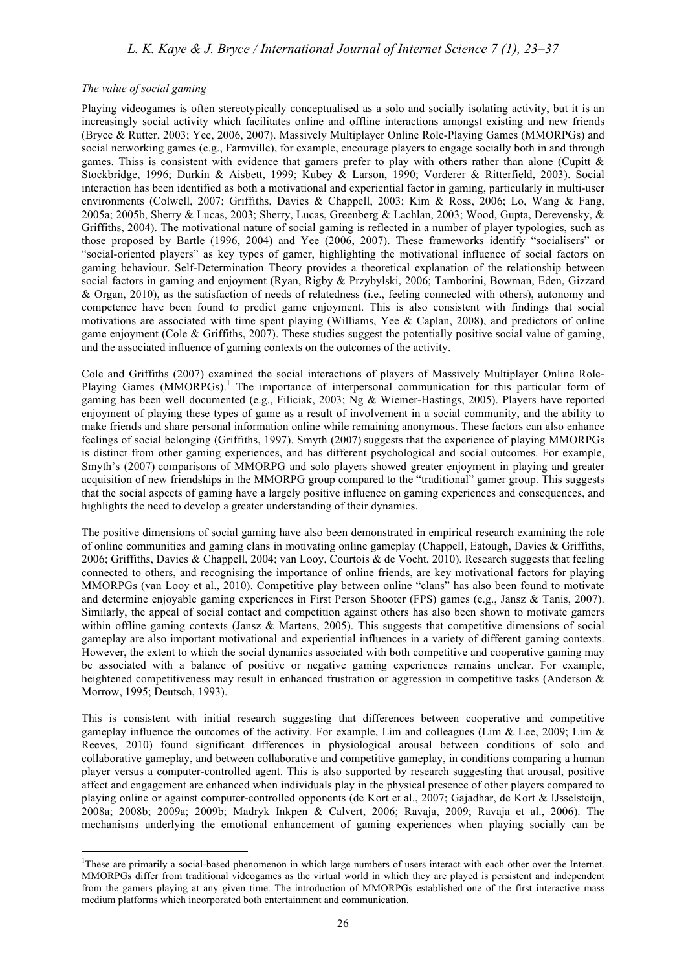#### *The value of social gaming*

Playing videogames is often stereotypically conceptualised as a solo and socially isolating activity, but it is an increasingly social activity which facilitates online and offline interactions amongst existing and new friends (Bryce & Rutter, 2003; Yee, 2006, 2007). Massively Multiplayer Online Role-Playing Games (MMORPGs) and social networking games (e.g., Farmville), for example, encourage players to engage socially both in and through games. Thiss is consistent with evidence that gamers prefer to play with others rather than alone (Cupitt  $\&$ Stockbridge, 1996; Durkin & Aisbett, 1999; Kubey & Larson, 1990; Vorderer & Ritterfield, 2003). Social interaction has been identified as both a motivational and experiential factor in gaming, particularly in multi-user environments (Colwell, 2007; Griffiths, Davies & Chappell, 2003; Kim & Ross, 2006; Lo, Wang & Fang, 2005a; 2005b, Sherry & Lucas, 2003; Sherry, Lucas, Greenberg & Lachlan, 2003; Wood, Gupta, Derevensky, & Griffiths, 2004). The motivational nature of social gaming is reflected in a number of player typologies, such as those proposed by Bartle (1996, 2004) and Yee (2006, 2007). These frameworks identify "socialisers" or "social-oriented players" as key types of gamer, highlighting the motivational influence of social factors on gaming behaviour. Self-Determination Theory provides a theoretical explanation of the relationship between social factors in gaming and enjoyment (Ryan, Rigby & Przybylski, 2006; Tamborini, Bowman, Eden, Gizzard & Organ, 2010), as the satisfaction of needs of relatedness (i.e., feeling connected with others), autonomy and competence have been found to predict game enjoyment. This is also consistent with findings that social motivations are associated with time spent playing (Williams, Yee & Caplan, 2008), and predictors of online game enjoyment (Cole & Griffiths, 2007). These studies suggest the potentially positive social value of gaming, and the associated influence of gaming contexts on the outcomes of the activity.

Cole and Griffiths (2007) examined the social interactions of players of Massively Multiplayer Online Role-Playing Games (MMORPGs).<sup>1</sup> The importance of interpersonal communication for this particular form of gaming has been well documented (e.g., Filiciak, 2003; Ng & Wiemer-Hastings, 2005). Players have reported enjoyment of playing these types of game as a result of involvement in a social community, and the ability to make friends and share personal information online while remaining anonymous. These factors can also enhance feelings of social belonging (Griffiths, 1997). Smyth (2007) suggests that the experience of playing MMORPGs is distinct from other gaming experiences, and has different psychological and social outcomes. For example, Smyth's (2007) comparisons of MMORPG and solo players showed greater enjoyment in playing and greater acquisition of new friendships in the MMORPG group compared to the "traditional" gamer group. This suggests that the social aspects of gaming have a largely positive influence on gaming experiences and consequences, and highlights the need to develop a greater understanding of their dynamics.

The positive dimensions of social gaming have also been demonstrated in empirical research examining the role of online communities and gaming clans in motivating online gameplay (Chappell, Eatough, Davies & Griffiths, 2006; Griffiths, Davies & Chappell, 2004; van Looy, Courtois & de Vocht, 2010). Research suggests that feeling connected to others, and recognising the importance of online friends, are key motivational factors for playing MMORPGs (van Looy et al., 2010). Competitive play between online "clans" has also been found to motivate and determine enjoyable gaming experiences in First Person Shooter (FPS) games (e.g., Jansz & Tanis, 2007). Similarly, the appeal of social contact and competition against others has also been shown to motivate gamers within offline gaming contexts (Jansz & Martens, 2005). This suggests that competitive dimensions of social gameplay are also important motivational and experiential influences in a variety of different gaming contexts. However, the extent to which the social dynamics associated with both competitive and cooperative gaming may be associated with a balance of positive or negative gaming experiences remains unclear. For example, heightened competitiveness may result in enhanced frustration or aggression in competitive tasks (Anderson & Morrow, 1995; Deutsch, 1993).

This is consistent with initial research suggesting that differences between cooperative and competitive gameplay influence the outcomes of the activity. For example, Lim and colleagues (Lim & Lee, 2009; Lim & Reeves, 2010) found significant differences in physiological arousal between conditions of solo and collaborative gameplay, and between collaborative and competitive gameplay, in conditions comparing a human player versus a computer-controlled agent. This is also supported by research suggesting that arousal, positive affect and engagement are enhanced when individuals play in the physical presence of other players compared to playing online or against computer-controlled opponents (de Kort et al., 2007; Gajadhar, de Kort & IJsselsteijn, 2008a; 2008b; 2009a; 2009b; Madryk Inkpen & Calvert, 2006; Ravaja, 2009; Ravaja et al., 2006). The mechanisms underlying the emotional enhancement of gaming experiences when playing socially can be

 $\frac{1}{1}$ <sup>1</sup>These are primarily a social-based phenomenon in which large numbers of users interact with each other over the Internet. MMORPGs differ from traditional videogames as the virtual world in which they are played is persistent and independent from the gamers playing at any given time. The introduction of MMORPGs established one of the first interactive mass medium platforms which incorporated both entertainment and communication.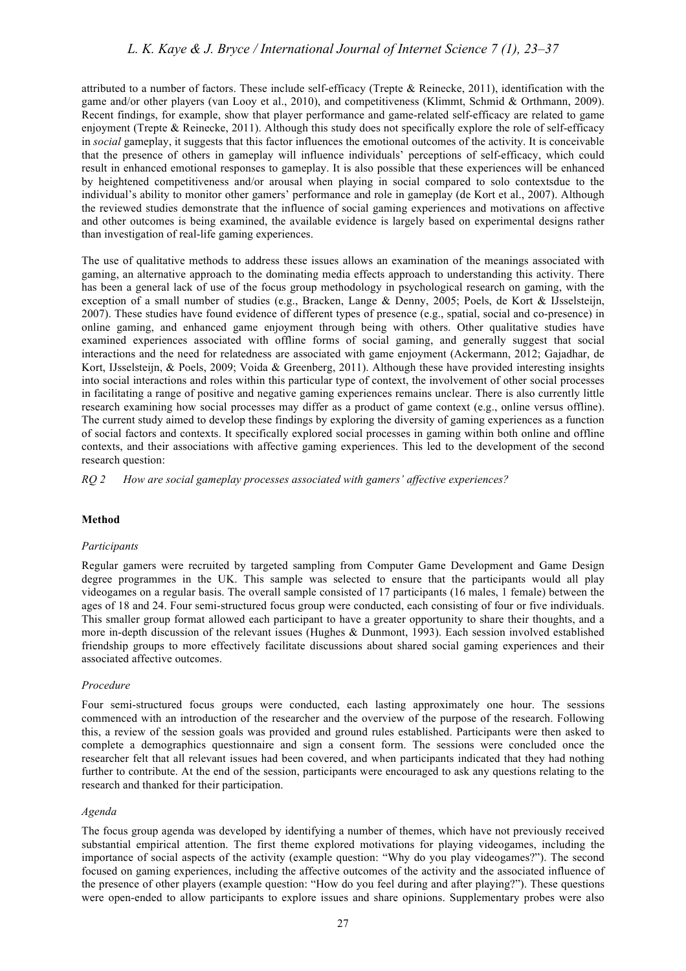attributed to a number of factors. These include self-efficacy (Trepte & Reinecke, 2011), identification with the game and/or other players (van Looy et al., 2010), and competitiveness (Klimmt, Schmid & Orthmann, 2009). Recent findings, for example, show that player performance and game-related self-efficacy are related to game enjoyment (Trepte & Reinecke, 2011). Although this study does not specifically explore the role of self-efficacy in *social* gameplay, it suggests that this factor influences the emotional outcomes of the activity. It is conceivable that the presence of others in gameplay will influence individuals' perceptions of self-efficacy, which could result in enhanced emotional responses to gameplay. It is also possible that these experiences will be enhanced by heightened competitiveness and/or arousal when playing in social compared to solo contextsdue to the individual's ability to monitor other gamers' performance and role in gameplay (de Kort et al., 2007). Although the reviewed studies demonstrate that the influence of social gaming experiences and motivations on affective and other outcomes is being examined, the available evidence is largely based on experimental designs rather than investigation of real-life gaming experiences.

The use of qualitative methods to address these issues allows an examination of the meanings associated with gaming, an alternative approach to the dominating media effects approach to understanding this activity. There has been a general lack of use of the focus group methodology in psychological research on gaming, with the exception of a small number of studies (e.g., Bracken, Lange & Denny, 2005; Poels, de Kort & IJsselsteijn, 2007). These studies have found evidence of different types of presence (e.g., spatial, social and co-presence) in online gaming, and enhanced game enjoyment through being with others. Other qualitative studies have examined experiences associated with offline forms of social gaming, and generally suggest that social interactions and the need for relatedness are associated with game enjoyment (Ackermann, 2012; Gajadhar, de Kort, IJsselsteijn, & Poels, 2009; Voida & Greenberg, 2011). Although these have provided interesting insights into social interactions and roles within this particular type of context, the involvement of other social processes in facilitating a range of positive and negative gaming experiences remains unclear. There is also currently little research examining how social processes may differ as a product of game context (e.g., online versus offline). The current study aimed to develop these findings by exploring the diversity of gaming experiences as a function of social factors and contexts. It specifically explored social processes in gaming within both online and offline contexts, and their associations with affective gaming experiences. This led to the development of the second research question:

*RQ 2 How are social gameplay processes associated with gamers' affective experiences?*

# **Method**

#### *Participants*

Regular gamers were recruited by targeted sampling from Computer Game Development and Game Design degree programmes in the UK. This sample was selected to ensure that the participants would all play videogames on a regular basis. The overall sample consisted of 17 participants (16 males, 1 female) between the ages of 18 and 24. Four semi-structured focus group were conducted, each consisting of four or five individuals. This smaller group format allowed each participant to have a greater opportunity to share their thoughts, and a more in-depth discussion of the relevant issues (Hughes & Dunmont, 1993). Each session involved established friendship groups to more effectively facilitate discussions about shared social gaming experiences and their associated affective outcomes.

#### *Procedure*

Four semi-structured focus groups were conducted, each lasting approximately one hour. The sessions commenced with an introduction of the researcher and the overview of the purpose of the research. Following this, a review of the session goals was provided and ground rules established. Participants were then asked to complete a demographics questionnaire and sign a consent form. The sessions were concluded once the researcher felt that all relevant issues had been covered, and when participants indicated that they had nothing further to contribute. At the end of the session, participants were encouraged to ask any questions relating to the research and thanked for their participation.

## *Agenda*

The focus group agenda was developed by identifying a number of themes, which have not previously received substantial empirical attention. The first theme explored motivations for playing videogames, including the importance of social aspects of the activity (example question: "Why do you play videogames?"). The second focused on gaming experiences, including the affective outcomes of the activity and the associated influence of the presence of other players (example question: "How do you feel during and after playing?"). These questions were open-ended to allow participants to explore issues and share opinions. Supplementary probes were also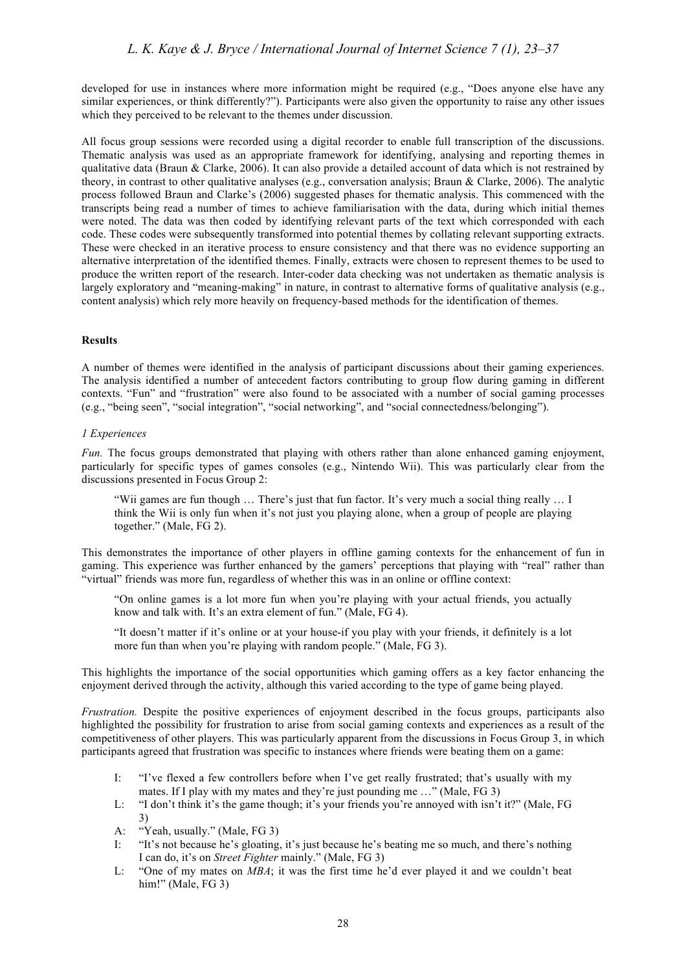developed for use in instances where more information might be required (e.g., "Does anyone else have any similar experiences, or think differently?"). Participants were also given the opportunity to raise any other issues which they perceived to be relevant to the themes under discussion.

All focus group sessions were recorded using a digital recorder to enable full transcription of the discussions. Thematic analysis was used as an appropriate framework for identifying, analysing and reporting themes in qualitative data (Braun & Clarke, 2006). It can also provide a detailed account of data which is not restrained by theory, in contrast to other qualitative analyses (e.g., conversation analysis; Braun & Clarke, 2006). The analytic process followed Braun and Clarke's (2006) suggested phases for thematic analysis. This commenced with the transcripts being read a number of times to achieve familiarisation with the data, during which initial themes were noted. The data was then coded by identifying relevant parts of the text which corresponded with each code. These codes were subsequently transformed into potential themes by collating relevant supporting extracts. These were checked in an iterative process to ensure consistency and that there was no evidence supporting an alternative interpretation of the identified themes. Finally, extracts were chosen to represent themes to be used to produce the written report of the research. Inter-coder data checking was not undertaken as thematic analysis is largely exploratory and "meaning-making" in nature, in contrast to alternative forms of qualitative analysis (e.g., content analysis) which rely more heavily on frequency-based methods for the identification of themes.

# **Results**

A number of themes were identified in the analysis of participant discussions about their gaming experiences. The analysis identified a number of antecedent factors contributing to group flow during gaming in different contexts. "Fun" and "frustration" were also found to be associated with a number of social gaming processes (e.g., "being seen", "social integration", "social networking", and "social connectedness/belonging").

## *1 Experiences*

*Fun.* The focus groups demonstrated that playing with others rather than alone enhanced gaming enjoyment. particularly for specific types of games consoles (e.g., Nintendo Wii). This was particularly clear from the discussions presented in Focus Group 2:

"Wii games are fun though … There's just that fun factor. It's very much a social thing really … I think the Wii is only fun when it's not just you playing alone, when a group of people are playing together." (Male, FG 2).

This demonstrates the importance of other players in offline gaming contexts for the enhancement of fun in gaming. This experience was further enhanced by the gamers' perceptions that playing with "real" rather than "virtual" friends was more fun, regardless of whether this was in an online or offline context:

"On online games is a lot more fun when you're playing with your actual friends, you actually know and talk with. It's an extra element of fun." (Male, FG 4).

"It doesn't matter if it's online or at your house-if you play with your friends, it definitely is a lot more fun than when you're playing with random people." (Male, FG 3).

This highlights the importance of the social opportunities which gaming offers as a key factor enhancing the enjoyment derived through the activity, although this varied according to the type of game being played.

*Frustration.* Despite the positive experiences of enjoyment described in the focus groups, participants also highlighted the possibility for frustration to arise from social gaming contexts and experiences as a result of the competitiveness of other players. This was particularly apparent from the discussions in Focus Group 3, in which participants agreed that frustration was specific to instances where friends were beating them on a game:

- I: "I've flexed a few controllers before when I've get really frustrated; that's usually with my mates. If I play with my mates and they're just pounding me …" (Male, FG 3)
- L: "I don't think it's the game though; it's your friends you're annoyed with isn't it?" (Male, FG 3)
- A: "Yeah, usually." (Male, FG 3)
- I: "It's not because he's gloating, it's just because he's beating me so much, and there's nothing I can do, it's on *Street Fighter* mainly." (Male, FG 3)
- L: "One of my mates on *MBA*; it was the first time he'd ever played it and we couldn't beat him!" (Male, FG 3)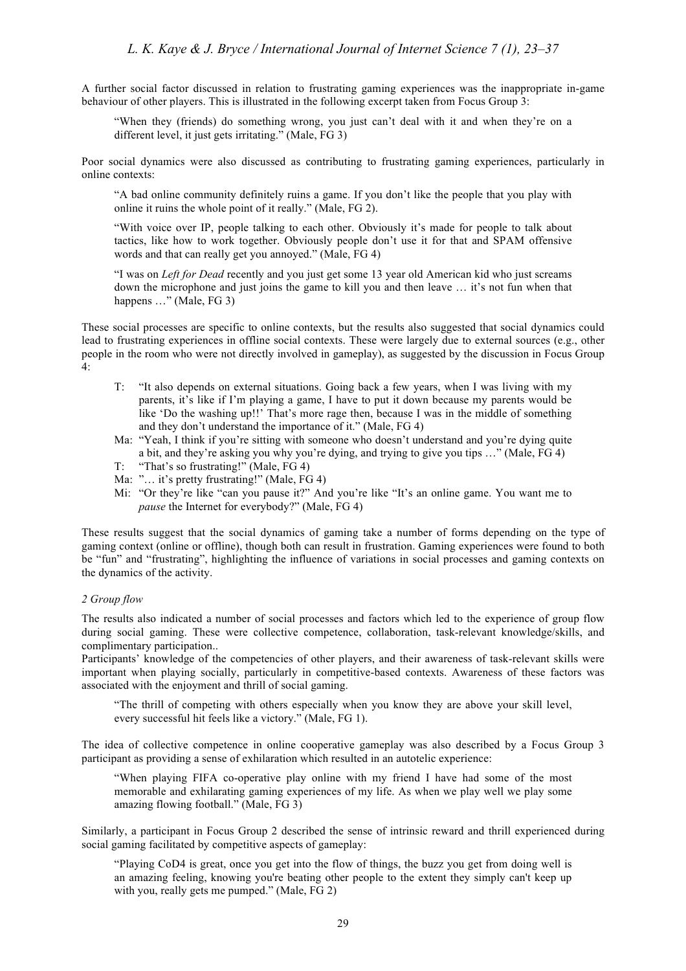A further social factor discussed in relation to frustrating gaming experiences was the inappropriate in-game behaviour of other players. This is illustrated in the following excerpt taken from Focus Group 3:

"When they (friends) do something wrong, you just can't deal with it and when they're on a different level, it just gets irritating." (Male, FG 3)

Poor social dynamics were also discussed as contributing to frustrating gaming experiences, particularly in online contexts:

"A bad online community definitely ruins a game. If you don't like the people that you play with online it ruins the whole point of it really." (Male, FG 2).

"With voice over IP, people talking to each other. Obviously it's made for people to talk about tactics, like how to work together. Obviously people don't use it for that and SPAM offensive words and that can really get you annoyed." (Male, FG 4)

"I was on *Left for Dead* recently and you just get some 13 year old American kid who just screams down the microphone and just joins the game to kill you and then leave … it's not fun when that happens ..." (Male, FG 3)

These social processes are specific to online contexts, but the results also suggested that social dynamics could lead to frustrating experiences in offline social contexts. These were largely due to external sources (e.g., other people in the room who were not directly involved in gameplay), as suggested by the discussion in Focus Group 4:

- T: "It also depends on external situations. Going back a few years, when I was living with my parents, it's like if I'm playing a game, I have to put it down because my parents would be like 'Do the washing up!!' That's more rage then, because I was in the middle of something and they don't understand the importance of it." (Male, FG 4)
- Ma: "Yeah, I think if you're sitting with someone who doesn't understand and you're dying quite a bit, and they're asking you why you're dying, and trying to give you tips …" (Male, FG 4)
- T: "That's so frustrating!" (Male, FG 4)
- Ma: "... it's pretty frustrating!" (Male, FG 4)
- Mi: "Or they're like "can you pause it?" And you're like "It's an online game. You want me to *pause* the Internet for everybody?" (Male, FG 4)

These results suggest that the social dynamics of gaming take a number of forms depending on the type of gaming context (online or offline), though both can result in frustration. Gaming experiences were found to both be "fun" and "frustrating", highlighting the influence of variations in social processes and gaming contexts on the dynamics of the activity.

# *2 Group flow*

The results also indicated a number of social processes and factors which led to the experience of group flow during social gaming. These were collective competence, collaboration, task-relevant knowledge/skills, and complimentary participation..

Participants' knowledge of the competencies of other players, and their awareness of task-relevant skills were important when playing socially, particularly in competitive-based contexts. Awareness of these factors was associated with the enjoyment and thrill of social gaming.

"The thrill of competing with others especially when you know they are above your skill level, every successful hit feels like a victory." (Male, FG 1).

The idea of collective competence in online cooperative gameplay was also described by a Focus Group 3 participant as providing a sense of exhilaration which resulted in an autotelic experience:

"When playing FIFA co-operative play online with my friend I have had some of the most memorable and exhilarating gaming experiences of my life. As when we play well we play some amazing flowing football." (Male, FG 3)

Similarly, a participant in Focus Group 2 described the sense of intrinsic reward and thrill experienced during social gaming facilitated by competitive aspects of gameplay:

"Playing CoD4 is great, once you get into the flow of things, the buzz you get from doing well is an amazing feeling, knowing you're beating other people to the extent they simply can't keep up with you, really gets me pumped." (Male, FG 2)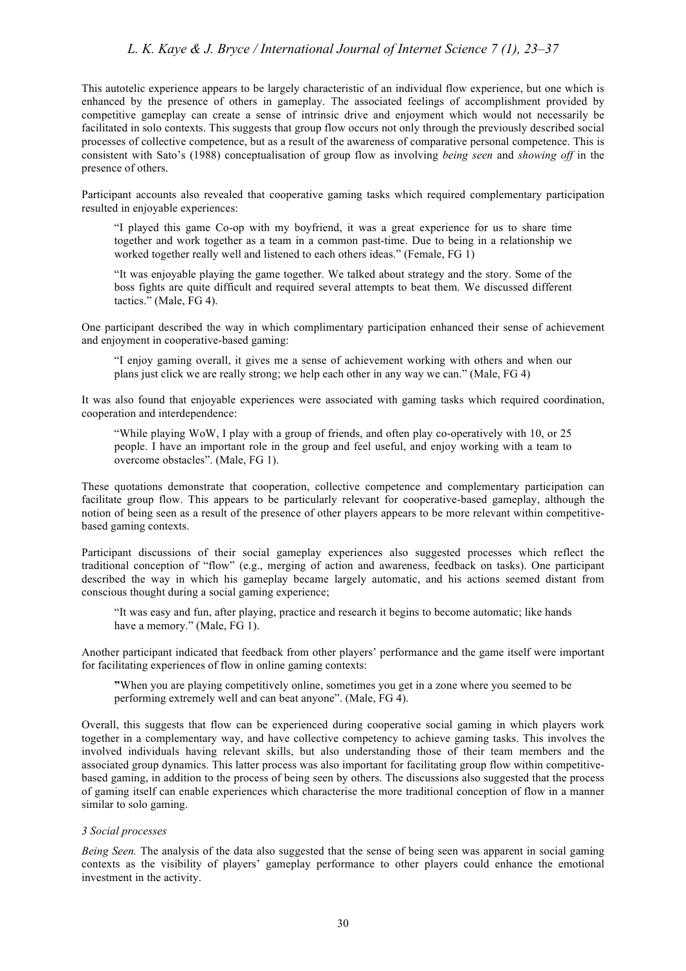This autotelic experience appears to be largely characteristic of an individual flow experience, but one which is enhanced by the presence of others in gameplay. The associated feelings of accomplishment provided by competitive gameplay can create a sense of intrinsic drive and enjoyment which would not necessarily be facilitated in solo contexts. This suggests that group flow occurs not only through the previously described social processes of collective competence, but as a result of the awareness of comparative personal competence. This is consistent with Sato's (1988) conceptualisation of group flow as involving *being seen* and *showing off* in the presence of others.

Participant accounts also revealed that cooperative gaming tasks which required complementary participation resulted in enjoyable experiences:

"I played this game Co-op with my boyfriend, it was a great experience for us to share time together and work together as a team in a common past-time. Due to being in a relationship we worked together really well and listened to each others ideas." (Female, FG 1)

"It was enjoyable playing the game together. We talked about strategy and the story. Some of the boss fights are quite difficult and required several attempts to beat them. We discussed different tactics." (Male, FG 4).

One participant described the way in which complimentary participation enhanced their sense of achievement and enjoyment in cooperative-based gaming:

"I enjoy gaming overall, it gives me a sense of achievement working with others and when our plans just click we are really strong; we help each other in any way we can." (Male, FG 4)

It was also found that enjoyable experiences were associated with gaming tasks which required coordination, cooperation and interdependence:

"While playing WoW, I play with a group of friends, and often play co-operatively with 10, or 25 people. I have an important role in the group and feel useful, and enjoy working with a team to overcome obstacles". (Male, FG 1).

These quotations demonstrate that cooperation, collective competence and complementary participation can facilitate group flow. This appears to be particularly relevant for cooperative-based gameplay, although the notion of being seen as a result of the presence of other players appears to be more relevant within competitivebased gaming contexts.

Participant discussions of their social gameplay experiences also suggested processes which reflect the traditional conception of "flow" (e.g., merging of action and awareness, feedback on tasks). One participant described the way in which his gameplay became largely automatic, and his actions seemed distant from conscious thought during a social gaming experience;

"It was easy and fun, after playing, practice and research it begins to become automatic; like hands have a memory." (Male, FG 1).

Another participant indicated that feedback from other players' performance and the game itself were important for facilitating experiences of flow in online gaming contexts:

**"**When you are playing competitively online, sometimes you get in a zone where you seemed to be performing extremely well and can beat anyone". (Male, FG 4).

Overall, this suggests that flow can be experienced during cooperative social gaming in which players work together in a complementary way, and have collective competency to achieve gaming tasks. This involves the involved individuals having relevant skills, but also understanding those of their team members and the associated group dynamics. This latter process was also important for facilitating group flow within competitivebased gaming, in addition to the process of being seen by others. The discussions also suggested that the process of gaming itself can enable experiences which characterise the more traditional conception of flow in a manner similar to solo gaming.

# *3 Social processes*

*Being Seen.* The analysis of the data also suggested that the sense of being seen was apparent in social gaming contexts as the visibility of players' gameplay performance to other players could enhance the emotional investment in the activity.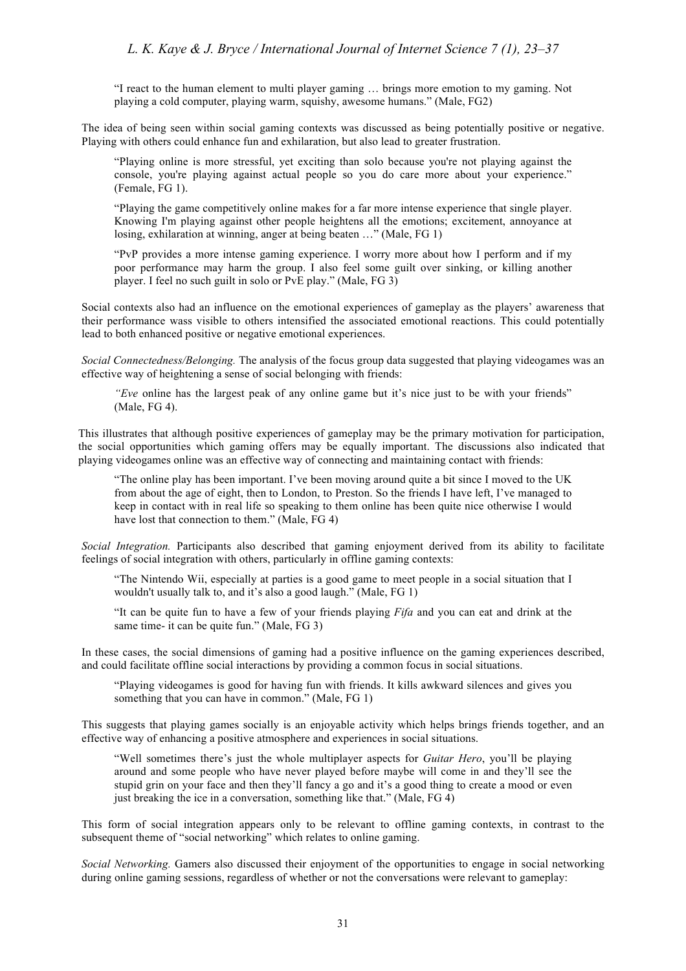"I react to the human element to multi player gaming … brings more emotion to my gaming. Not playing a cold computer, playing warm, squishy, awesome humans." (Male, FG2)

The idea of being seen within social gaming contexts was discussed as being potentially positive or negative. Playing with others could enhance fun and exhilaration, but also lead to greater frustration.

"Playing online is more stressful, yet exciting than solo because you're not playing against the console, you're playing against actual people so you do care more about your experience." (Female, FG 1).

"Playing the game competitively online makes for a far more intense experience that single player. Knowing I'm playing against other people heightens all the emotions; excitement, annoyance at losing, exhilaration at winning, anger at being beaten …" (Male, FG 1)

"PvP provides a more intense gaming experience. I worry more about how I perform and if my poor performance may harm the group. I also feel some guilt over sinking, or killing another player. I feel no such guilt in solo or PvE play." (Male, FG 3)

Social contexts also had an influence on the emotional experiences of gameplay as the players' awareness that their performance wass visible to others intensified the associated emotional reactions. This could potentially lead to both enhanced positive or negative emotional experiences.

*Social Connectedness/Belonging.* The analysis of the focus group data suggested that playing videogames was an effective way of heightening a sense of social belonging with friends:

*"Eve* online has the largest peak of any online game but it's nice just to be with your friends" (Male, FG 4).

This illustrates that although positive experiences of gameplay may be the primary motivation for participation, the social opportunities which gaming offers may be equally important. The discussions also indicated that playing videogames online was an effective way of connecting and maintaining contact with friends:

"The online play has been important. I've been moving around quite a bit since I moved to the UK from about the age of eight, then to London, to Preston. So the friends I have left, I've managed to keep in contact with in real life so speaking to them online has been quite nice otherwise I would have lost that connection to them." (Male, FG 4)

*Social Integration.* Participants also described that gaming enjoyment derived from its ability to facilitate feelings of social integration with others, particularly in offline gaming contexts:

"The Nintendo Wii, especially at parties is a good game to meet people in a social situation that I wouldn't usually talk to, and it's also a good laugh." (Male, FG 1)

"It can be quite fun to have a few of your friends playing *Fifa* and you can eat and drink at the same time- it can be quite fun." (Male, FG 3)

In these cases, the social dimensions of gaming had a positive influence on the gaming experiences described, and could facilitate offline social interactions by providing a common focus in social situations.

"Playing videogames is good for having fun with friends. It kills awkward silences and gives you something that you can have in common." (Male, FG 1)

This suggests that playing games socially is an enjoyable activity which helps brings friends together, and an effective way of enhancing a positive atmosphere and experiences in social situations.

"Well sometimes there's just the whole multiplayer aspects for *Guitar Hero*, you'll be playing around and some people who have never played before maybe will come in and they'll see the stupid grin on your face and then they'll fancy a go and it's a good thing to create a mood or even just breaking the ice in a conversation, something like that." (Male, FG 4)

This form of social integration appears only to be relevant to offline gaming contexts, in contrast to the subsequent theme of "social networking" which relates to online gaming.

*Social Networking.* Gamers also discussed their enjoyment of the opportunities to engage in social networking during online gaming sessions, regardless of whether or not the conversations were relevant to gameplay: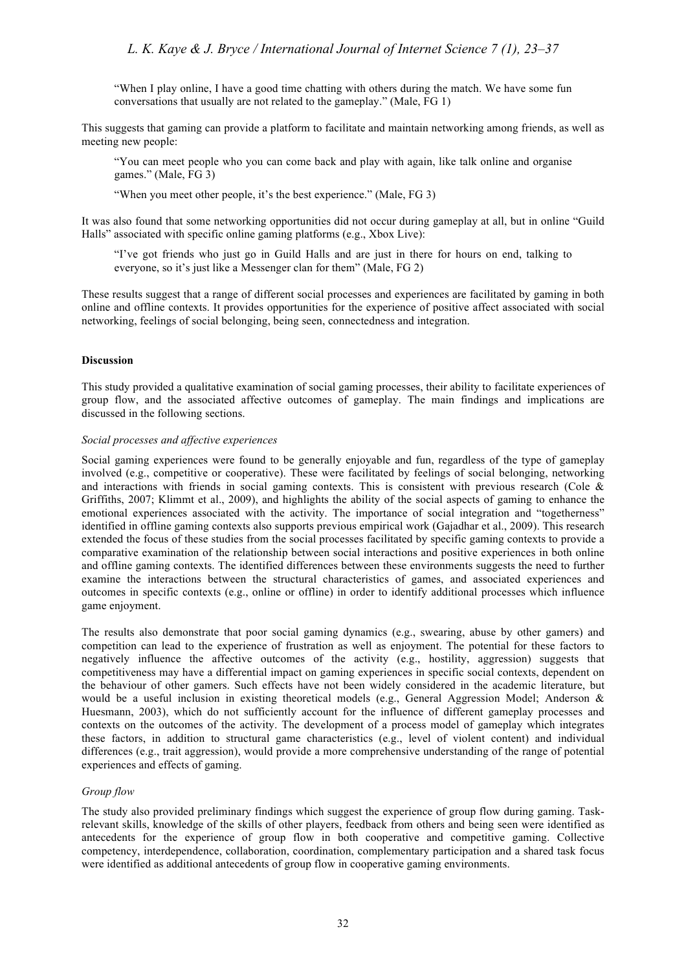"When I play online, I have a good time chatting with others during the match. We have some fun conversations that usually are not related to the gameplay." (Male, FG 1)

This suggests that gaming can provide a platform to facilitate and maintain networking among friends, as well as meeting new people:

"You can meet people who you can come back and play with again, like talk online and organise games." (Male, FG 3)

"When you meet other people, it's the best experience." (Male, FG 3)

It was also found that some networking opportunities did not occur during gameplay at all, but in online "Guild Halls" associated with specific online gaming platforms (e.g., Xbox Live):

"I've got friends who just go in Guild Halls and are just in there for hours on end, talking to everyone, so it's just like a Messenger clan for them" (Male, FG 2)

These results suggest that a range of different social processes and experiences are facilitated by gaming in both online and offline contexts. It provides opportunities for the experience of positive affect associated with social networking, feelings of social belonging, being seen, connectedness and integration.

### **Discussion**

This study provided a qualitative examination of social gaming processes, their ability to facilitate experiences of group flow, and the associated affective outcomes of gameplay. The main findings and implications are discussed in the following sections.

#### *Social processes and affective experiences*

Social gaming experiences were found to be generally enjoyable and fun, regardless of the type of gameplay involved (e.g., competitive or cooperative). These were facilitated by feelings of social belonging, networking and interactions with friends in social gaming contexts. This is consistent with previous research (Cole & Griffiths, 2007; Klimmt et al., 2009), and highlights the ability of the social aspects of gaming to enhance the emotional experiences associated with the activity. The importance of social integration and "togetherness" identified in offline gaming contexts also supports previous empirical work (Gajadhar et al., 2009). This research extended the focus of these studies from the social processes facilitated by specific gaming contexts to provide a comparative examination of the relationship between social interactions and positive experiences in both online and offline gaming contexts. The identified differences between these environments suggests the need to further examine the interactions between the structural characteristics of games, and associated experiences and outcomes in specific contexts (e.g., online or offline) in order to identify additional processes which influence game enjoyment.

The results also demonstrate that poor social gaming dynamics (e.g., swearing, abuse by other gamers) and competition can lead to the experience of frustration as well as enjoyment. The potential for these factors to negatively influence the affective outcomes of the activity (e.g., hostility, aggression) suggests that competitiveness may have a differential impact on gaming experiences in specific social contexts, dependent on the behaviour of other gamers. Such effects have not been widely considered in the academic literature, but would be a useful inclusion in existing theoretical models (e.g., General Aggression Model; Anderson & Huesmann, 2003), which do not sufficiently account for the influence of different gameplay processes and contexts on the outcomes of the activity. The development of a process model of gameplay which integrates these factors, in addition to structural game characteristics (e.g., level of violent content) and individual differences (e.g., trait aggression), would provide a more comprehensive understanding of the range of potential experiences and effects of gaming.

#### *Group flow*

The study also provided preliminary findings which suggest the experience of group flow during gaming. Taskrelevant skills, knowledge of the skills of other players, feedback from others and being seen were identified as antecedents for the experience of group flow in both cooperative and competitive gaming. Collective competency, interdependence, collaboration, coordination, complementary participation and a shared task focus were identified as additional antecedents of group flow in cooperative gaming environments.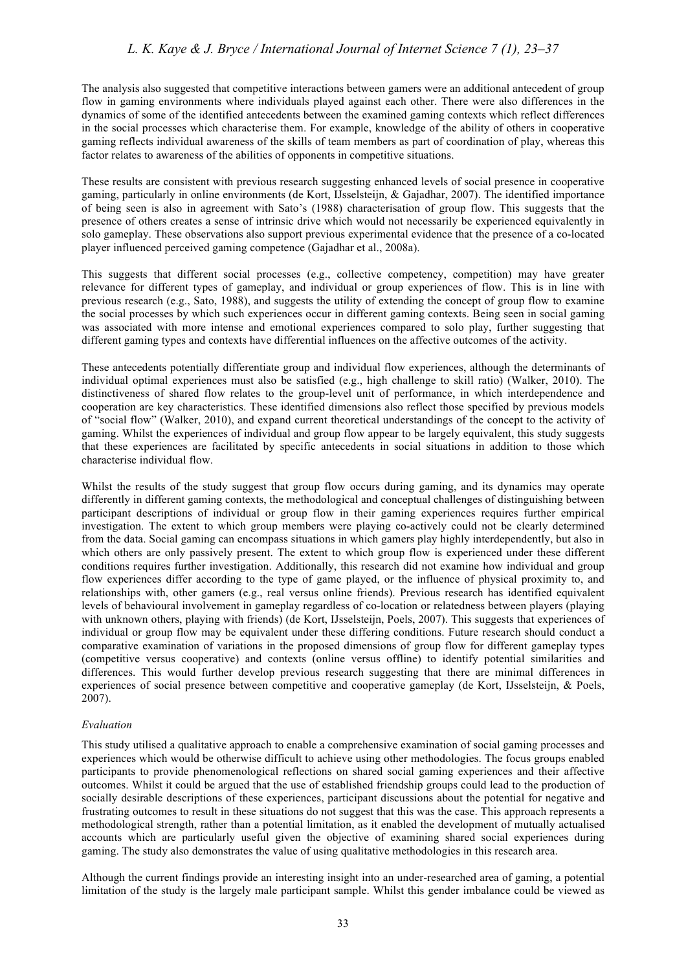The analysis also suggested that competitive interactions between gamers were an additional antecedent of group flow in gaming environments where individuals played against each other. There were also differences in the dynamics of some of the identified antecedents between the examined gaming contexts which reflect differences in the social processes which characterise them. For example, knowledge of the ability of others in cooperative gaming reflects individual awareness of the skills of team members as part of coordination of play, whereas this factor relates to awareness of the abilities of opponents in competitive situations.

These results are consistent with previous research suggesting enhanced levels of social presence in cooperative gaming, particularly in online environments (de Kort, IJsselsteijn, & Gajadhar, 2007). The identified importance of being seen is also in agreement with Sato's (1988) characterisation of group flow. This suggests that the presence of others creates a sense of intrinsic drive which would not necessarily be experienced equivalently in solo gameplay. These observations also support previous experimental evidence that the presence of a co-located player influenced perceived gaming competence (Gajadhar et al., 2008a).

This suggests that different social processes (e.g., collective competency, competition) may have greater relevance for different types of gameplay, and individual or group experiences of flow. This is in line with previous research (e.g., Sato, 1988), and suggests the utility of extending the concept of group flow to examine the social processes by which such experiences occur in different gaming contexts. Being seen in social gaming was associated with more intense and emotional experiences compared to solo play, further suggesting that different gaming types and contexts have differential influences on the affective outcomes of the activity.

These antecedents potentially differentiate group and individual flow experiences, although the determinants of individual optimal experiences must also be satisfied (e.g., high challenge to skill ratio) (Walker, 2010). The distinctiveness of shared flow relates to the group-level unit of performance, in which interdependence and cooperation are key characteristics. These identified dimensions also reflect those specified by previous models of "social flow" (Walker, 2010), and expand current theoretical understandings of the concept to the activity of gaming. Whilst the experiences of individual and group flow appear to be largely equivalent, this study suggests that these experiences are facilitated by specific antecedents in social situations in addition to those which characterise individual flow.

Whilst the results of the study suggest that group flow occurs during gaming, and its dynamics may operate differently in different gaming contexts, the methodological and conceptual challenges of distinguishing between participant descriptions of individual or group flow in their gaming experiences requires further empirical investigation. The extent to which group members were playing co-actively could not be clearly determined from the data. Social gaming can encompass situations in which gamers play highly interdependently, but also in which others are only passively present. The extent to which group flow is experienced under these different conditions requires further investigation. Additionally, this research did not examine how individual and group flow experiences differ according to the type of game played, or the influence of physical proximity to, and relationships with, other gamers (e.g., real versus online friends). Previous research has identified equivalent levels of behavioural involvement in gameplay regardless of co-location or relatedness between players (playing with unknown others, playing with friends) (de Kort, IJsselsteijn, Poels, 2007). This suggests that experiences of individual or group flow may be equivalent under these differing conditions. Future research should conduct a comparative examination of variations in the proposed dimensions of group flow for different gameplay types (competitive versus cooperative) and contexts (online versus offline) to identify potential similarities and differences. This would further develop previous research suggesting that there are minimal differences in experiences of social presence between competitive and cooperative gameplay (de Kort, IJsselsteijn, & Poels, 2007).

# *Evaluation*

This study utilised a qualitative approach to enable a comprehensive examination of social gaming processes and experiences which would be otherwise difficult to achieve using other methodologies. The focus groups enabled participants to provide phenomenological reflections on shared social gaming experiences and their affective outcomes. Whilst it could be argued that the use of established friendship groups could lead to the production of socially desirable descriptions of these experiences, participant discussions about the potential for negative and frustrating outcomes to result in these situations do not suggest that this was the case. This approach represents a methodological strength, rather than a potential limitation, as it enabled the development of mutually actualised accounts which are particularly useful given the objective of examining shared social experiences during gaming. The study also demonstrates the value of using qualitative methodologies in this research area.

Although the current findings provide an interesting insight into an under-researched area of gaming, a potential limitation of the study is the largely male participant sample. Whilst this gender imbalance could be viewed as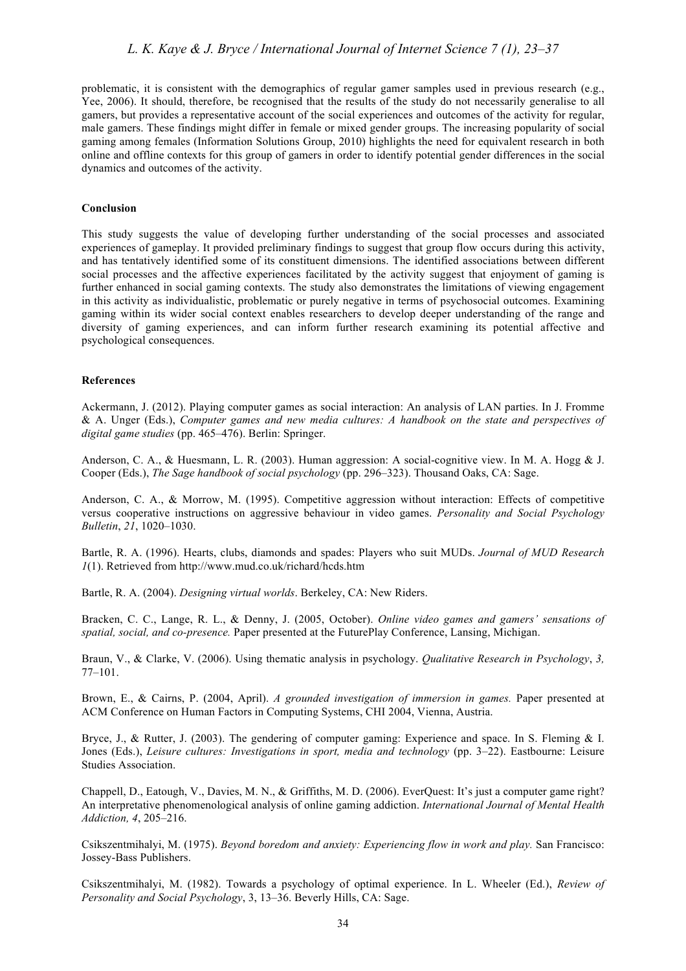problematic, it is consistent with the demographics of regular gamer samples used in previous research (e.g., Yee, 2006). It should, therefore, be recognised that the results of the study do not necessarily generalise to all gamers, but provides a representative account of the social experiences and outcomes of the activity for regular, male gamers. These findings might differ in female or mixed gender groups. The increasing popularity of social gaming among females (Information Solutions Group, 2010) highlights the need for equivalent research in both online and offline contexts for this group of gamers in order to identify potential gender differences in the social dynamics and outcomes of the activity.

#### **Conclusion**

This study suggests the value of developing further understanding of the social processes and associated experiences of gameplay. It provided preliminary findings to suggest that group flow occurs during this activity, and has tentatively identified some of its constituent dimensions. The identified associations between different social processes and the affective experiences facilitated by the activity suggest that enjoyment of gaming is further enhanced in social gaming contexts. The study also demonstrates the limitations of viewing engagement in this activity as individualistic, problematic or purely negative in terms of psychosocial outcomes. Examining gaming within its wider social context enables researchers to develop deeper understanding of the range and diversity of gaming experiences, and can inform further research examining its potential affective and psychological consequences.

#### **References**

Ackermann, J. (2012). Playing computer games as social interaction: An analysis of LAN parties. In J. Fromme & A. Unger (Eds.), *Computer games and new media cultures: A handbook on the state and perspectives of digital game studies* (pp. 465–476). Berlin: Springer.

Anderson, C. A., & Huesmann, L. R. (2003). Human aggression: A social-cognitive view. In M. A. Hogg & J. Cooper (Eds.), *The Sage handbook of social psychology* (pp. 296–323). Thousand Oaks, CA: Sage.

Anderson, C. A., & Morrow, M. (1995). Competitive aggression without interaction: Effects of competitive versus cooperative instructions on aggressive behaviour in video games. *Personality and Social Psychology Bulletin*, *21*, 1020–1030.

Bartle, R. A. (1996). Hearts, clubs, diamonds and spades: Players who suit MUDs. *Journal of MUD Research 1*(1). Retrieved from http://www.mud.co.uk/richard/hcds.htm

Bartle, R. A. (2004). *Designing virtual worlds*. Berkeley, CA: New Riders.

Bracken, C. C., Lange, R. L., & Denny, J. (2005, October). *Online video games and gamers' sensations of spatial, social, and co-presence.* Paper presented at the FuturePlay Conference, Lansing, Michigan.

Braun, V., & Clarke, V. (2006). Using thematic analysis in psychology. *Qualitative Research in Psychology*, *3,* 77–101.

Brown, E., & Cairns, P. (2004, April). *A grounded investigation of immersion in games.* Paper presented at ACM Conference on Human Factors in Computing Systems, CHI 2004, Vienna, Austria.

Bryce, J., & Rutter, J. (2003). The gendering of computer gaming: Experience and space. In S. Fleming & I. Jones (Eds.), *Leisure cultures: Investigations in sport, media and technology* (pp. 3–22). Eastbourne: Leisure Studies Association.

Chappell, D., Eatough, V., Davies, M. N., & Griffiths, M. D. (2006). EverQuest: It's just a computer game right? An interpretative phenomenological analysis of online gaming addiction. *International Journal of Mental Health Addiction, 4*, 205–216.

Csikszentmihalyi, M. (1975). *Beyond boredom and anxiety: Experiencing flow in work and play.* San Francisco: Jossey-Bass Publishers.

Csikszentmihalyi, M. (1982). Towards a psychology of optimal experience. In L. Wheeler (Ed.), *Review of Personality and Social Psychology*, 3, 13–36. Beverly Hills, CA: Sage.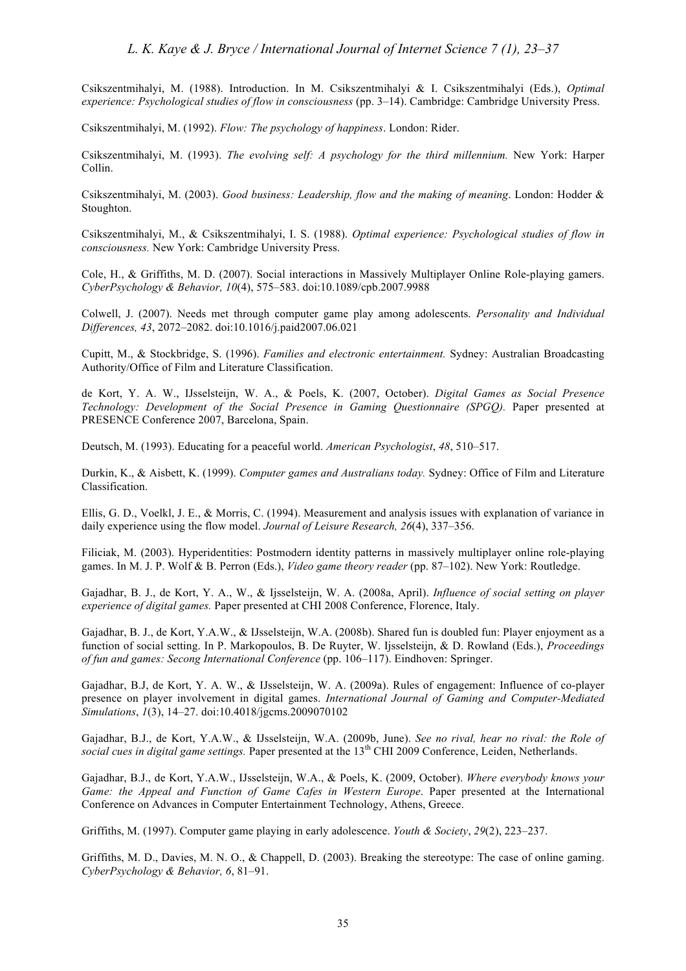Csikszentmihalyi, M. (1988). Introduction. In M. Csikszentmihalyi & I. Csikszentmihalyi (Eds.), *Optimal experience: Psychological studies of flow in consciousness* (pp. 3–14). Cambridge: Cambridge University Press.

Csikszentmihalyi, M. (1992). *Flow: The psychology of happiness*. London: Rider.

Csikszentmihalyi, M. (1993). *The evolving self: A psychology for the third millennium.* New York: Harper Collin.

Csikszentmihalyi, M. (2003). *Good business: Leadership, flow and the making of meaning*. London: Hodder & Stoughton.

Csikszentmihalyi, M., & Csikszentmihalyi, I. S. (1988). *Optimal experience: Psychological studies of flow in consciousness.* New York: Cambridge University Press.

Cole, H., & Griffiths, M. D. (2007). Social interactions in Massively Multiplayer Online Role-playing gamers. *CyberPsychology & Behavior, 10*(4), 575–583. doi:10.1089/cpb.2007.9988

Colwell, J. (2007). Needs met through computer game play among adolescents. *Personality and Individual Differences, 43*, 2072–2082. doi:10.1016/j.paid2007.06.021

Cupitt, M., & Stockbridge, S. (1996). *Families and electronic entertainment.* Sydney: Australian Broadcasting Authority/Office of Film and Literature Classification.

de Kort, Y. A. W., IJsselsteijn, W. A., & Poels, K. (2007, October). *Digital Games as Social Presence Technology: Development of the Social Presence in Gaming Questionnaire (SPGQ).* Paper presented at PRESENCE Conference 2007, Barcelona, Spain.

Deutsch, M. (1993). Educating for a peaceful world. *American Psychologist*, *48*, 510–517.

Durkin, K., & Aisbett, K. (1999). *Computer games and Australians today.* Sydney: Office of Film and Literature Classification.

Ellis, G. D., Voelkl, J. E., & Morris, C. (1994). Measurement and analysis issues with explanation of variance in daily experience using the flow model. *Journal of Leisure Research, 26*(4), 337–356.

Filiciak, M. (2003). Hyperidentities: Postmodern identity patterns in massively multiplayer online role-playing games. In M. J. P. Wolf & B. Perron (Eds.), *Video game theory reader* (pp. 87–102). New York: Routledge.

Gajadhar, B. J., de Kort, Y. A., W., & Ijsselsteijn, W. A. (2008a, April). *Influence of social setting on player experience of digital games.* Paper presented at CHI 2008 Conference, Florence, Italy.

Gajadhar, B. J., de Kort, Y.A.W., & IJsselsteijn, W.A. (2008b). Shared fun is doubled fun: Player enjoyment as a function of social setting. In P. Markopoulos, B. De Ruyter, W. Ijsselsteijn, & D. Rowland (Eds.), *Proceedings of fun and games: Secong International Conference* (pp. 106–117). Eindhoven: Springer.

Gajadhar, B.J, de Kort, Y. A. W., & IJsselsteijn, W. A. (2009a). Rules of engagement: Influence of co-player presence on player involvement in digital games. *International Journal of Gaming and Computer-Mediated Simulations*, *1*(3), 14–27. doi:10.4018/jgcms.2009070102

Gajadhar, B.J., de Kort, Y.A.W., & IJsselsteijn, W.A. (2009b, June). *See no rival, hear no rival: the Role of*  social cues in digital game settings. Paper presented at the 13<sup>th</sup> CHI 2009 Conference, Leiden, Netherlands.

Gajadhar, B.J., de Kort, Y.A.W., IJsselsteijn, W.A., & Poels, K. (2009, October). *Where everybody knows your Game: the Appeal and Function of Game Cafes in Western Europe*. Paper presented at the International Conference on Advances in Computer Entertainment Technology, Athens, Greece.

Griffiths, M. (1997). Computer game playing in early adolescence. *Youth & Society*, *29*(2), 223–237.

Griffiths, M. D., Davies, M. N. O., & Chappell, D. (2003). Breaking the stereotype: The case of online gaming. *CyberPsychology & Behavior, 6*, 81–91.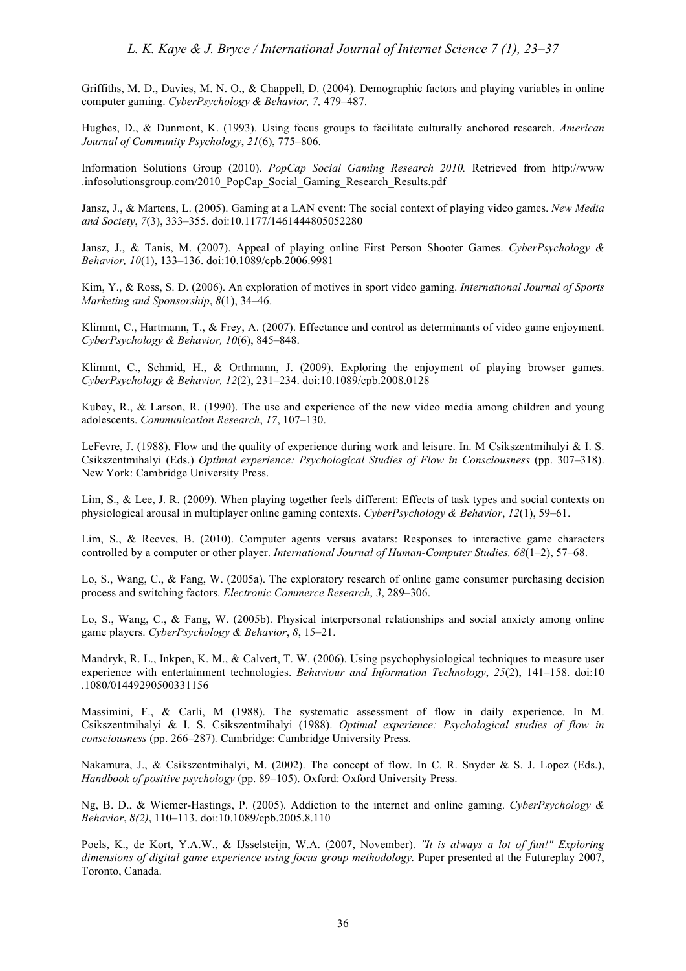Griffiths, M. D., Davies, M. N. O., & Chappell, D. (2004). Demographic factors and playing variables in online computer gaming. *CyberPsychology & Behavior, 7,* 479–487.

Hughes, D., & Dunmont, K. (1993). Using focus groups to facilitate culturally anchored research. *American Journal of Community Psychology*, *21*(6), 775–806.

Information Solutions Group (2010). *PopCap Social Gaming Research 2010.* Retrieved from http://www .infosolutionsgroup.com/2010\_PopCap\_Social\_Gaming\_Research\_Results.pdf

Jansz, J., & Martens, L. (2005). Gaming at a LAN event: The social context of playing video games. *New Media and Society*, *7*(3), 333–355. doi:10.1177/1461444805052280

Jansz, J., & Tanis, M. (2007). Appeal of playing online First Person Shooter Games. *CyberPsychology & Behavior, 10*(1), 133–136. doi:10.1089/cpb.2006.9981

Kim, Y., & Ross, S. D. (2006). An exploration of motives in sport video gaming. *International Journal of Sports Marketing and Sponsorship*, *8*(1), 34–46.

Klimmt, C., Hartmann, T., & Frey, A. (2007). Effectance and control as determinants of video game enjoyment. *CyberPsychology & Behavior, 10*(6), 845–848.

Klimmt, C., Schmid, H., & Orthmann, J. (2009). Exploring the enjoyment of playing browser games. *CyberPsychology & Behavior, 12*(2), 231–234. doi:10.1089/cpb.2008.0128

Kubey, R., & Larson, R. (1990). The use and experience of the new video media among children and young adolescents. *Communication Research*, *17*, 107–130.

LeFevre, J. (1988). Flow and the quality of experience during work and leisure. In. M Csikszentmihalyi & I. S. Csikszentmihalyi (Eds.) *Optimal experience: Psychological Studies of Flow in Consciousness* (pp. 307–318). New York: Cambridge University Press.

Lim, S., & Lee, J. R. (2009). When playing together feels different: Effects of task types and social contexts on physiological arousal in multiplayer online gaming contexts. *CyberPsychology & Behavior*, *12*(1), 59–61.

Lim, S., & Reeves, B. (2010). Computer agents versus avatars: Responses to interactive game characters controlled by a computer or other player. *International Journal of Human-Computer Studies, 68*(1–2), 57–68.

Lo, S., Wang, C., & Fang, W. (2005a). The exploratory research of online game consumer purchasing decision process and switching factors. *Electronic Commerce Research*, *3*, 289–306.

Lo, S., Wang, C., & Fang, W. (2005b). Physical interpersonal relationships and social anxiety among online game players. *CyberPsychology & Behavior*, *8*, 15–21.

Mandryk, R. L., Inkpen, K. M., & Calvert, T. W. (2006). Using psychophysiological techniques to measure user experience with entertainment technologies. *Behaviour and Information Technology*, *25*(2), 141–158. doi:10 .1080/01449290500331156

Massimini, F., & Carli, M (1988). The systematic assessment of flow in daily experience. In M. Csikszentmihalyi & I. S. Csikszentmihalyi (1988). *Optimal experience: Psychological studies of flow in consciousness* (pp. 266–287)*.* Cambridge: Cambridge University Press.

Nakamura, J., & Csikszentmihalyi, M. (2002). The concept of flow. In C. R. Snyder & S. J. Lopez (Eds.), *Handbook of positive psychology* (pp. 89–105). Oxford: Oxford University Press.

Ng, B. D., & Wiemer-Hastings, P. (2005). Addiction to the internet and online gaming. *CyberPsychology & Behavior*, *8(2)*, 110–113. doi:10.1089/cpb.2005.8.110

Poels, K., de Kort, Y.A.W., & IJsselsteijn, W.A. (2007, November). *"It is always a lot of fun!" Exploring dimensions of digital game experience using focus group methodology.* Paper presented at the Futureplay 2007, Toronto, Canada.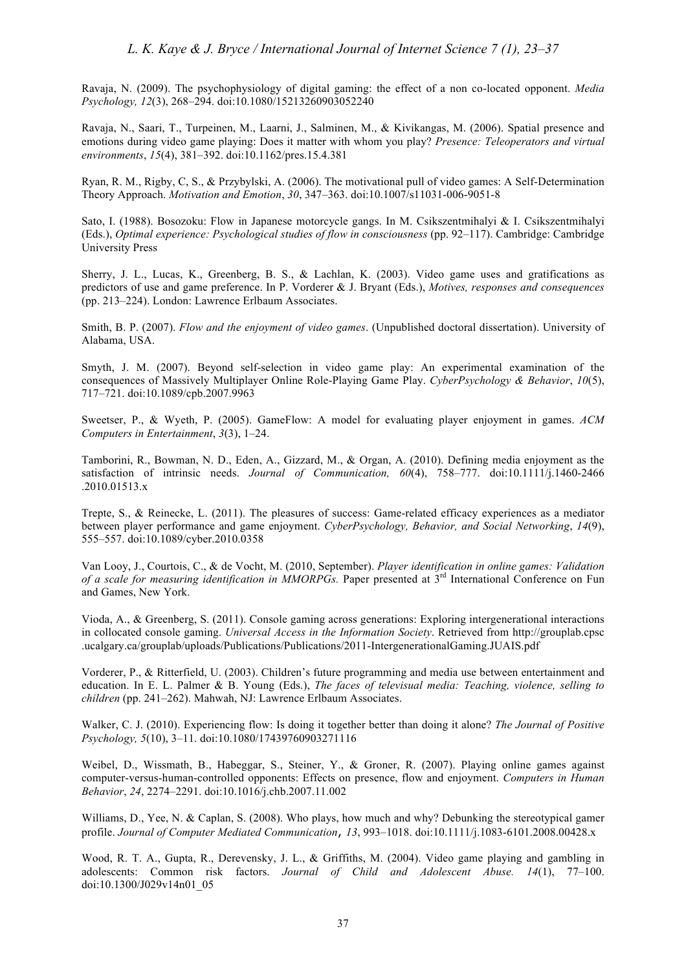Ravaja, N. (2009). The psychophysiology of digital gaming: the effect of a non co-located opponent. *Media Psychology, 12*(3), 268–294. doi:10.1080/15213260903052240

Ravaja, N., Saari, T., Turpeinen, M., Laarni, J., Salminen, M., & Kivikangas, M. (2006). Spatial presence and emotions during video game playing: Does it matter with whom you play? *Presence: Teleoperators and virtual environments*, *15*(4), 381–392. doi:10.1162/pres.15.4.381

Ryan, R. M., Rigby, C, S., & Przybylski, A. (2006). The motivational pull of video games: A Self-Determination Theory Approach. *Motivation and Emotion*, *30*, 347–363. doi:10.1007/s11031-006-9051-8

Sato, I. (1988). Bosozoku: Flow in Japanese motorcycle gangs. In M. Csikszentmihalyi & I. Csikszentmihalyi (Eds.), *Optimal experience: Psychological studies of flow in consciousness* (pp. 92–117). Cambridge: Cambridge University Press

Sherry, J. L., Lucas, K., Greenberg, B. S., & Lachlan, K. (2003). Video game uses and gratifications as predictors of use and game preference. In P. Vorderer & J. Bryant (Eds.), *Motives, responses and consequences* (pp. 213–224). London: Lawrence Erlbaum Associates.

Smith, B. P. (2007). *Flow and the enjoyment of video games*. (Unpublished doctoral dissertation). University of Alabama, USA.

Smyth, J. M. (2007). Beyond self-selection in video game play: An experimental examination of the consequences of Massively Multiplayer Online Role-Playing Game Play. *CyberPsychology & Behavior*, *10*(5), 717–721. doi:10.1089/cpb.2007.9963

Sweetser, P., & Wyeth, P. (2005). GameFlow: A model for evaluating player enjoyment in games. *ACM Computers in Entertainment*, *3*(3), 1–24.

Tamborini, R., Bowman, N. D., Eden, A., Gizzard, M., & Organ, A. (2010). Defining media enjoyment as the satisfaction of intrinsic needs. *Journal of Communication, 60*(4), 758–777. doi:10.1111/j.1460-2466 .2010.01513.x

Trepte, S., & Reinecke, L. (2011). The pleasures of success: Game-related efficacy experiences as a mediator between player performance and game enjoyment. *CyberPsychology, Behavior, and Social Networking*, *14*(9), 555–557. doi:10.1089/cyber.2010.0358

Van Looy, J., Courtois, C., & de Vocht, M. (2010, September). *Player identification in online games: Validation of a scale for measuring identification in MMORPGs.* Paper presented at 3rd International Conference on Fun and Games, New York.

Vioda, A., & Greenberg, S. (2011). Console gaming across generations: Exploring intergenerational interactions in collocated console gaming. *Universal Access in the Information Society*. Retrieved from http://grouplab.cpsc .ucalgary.ca/grouplab/uploads/Publications/Publications/2011-IntergenerationalGaming.JUAIS.pdf

Vorderer, P., & Ritterfield, U. (2003). Children's future programming and media use between entertainment and education. In E. L. Palmer & B. Young (Eds.), *The faces of televisual media: Teaching, violence, selling to children* (pp. 241–262). Mahwah, NJ: Lawrence Erlbaum Associates.

Walker, C. J. (2010). Experiencing flow: Is doing it together better than doing it alone? *The Journal of Positive Psychology, 5*(10), 3–11. doi:10.1080/17439760903271116

Weibel, D., Wissmath, B., Habeggar, S., Steiner, Y., & Groner, R. (2007). Playing online games against computer-versus-human-controlled opponents: Effects on presence, flow and enjoyment. *Computers in Human Behavior*, *24*, 2274–2291. doi:10.1016/j.chb.2007.11.002

Williams, D., Yee, N. & Caplan, S. (2008). Who plays, how much and why? Debunking the stereotypical gamer profile. *Journal of Computer Mediated Communication*, *13*, 993–1018. doi:10.1111/j.1083-6101.2008.00428.x

Wood, R. T. A., Gupta, R., Derevensky, J. L., & Griffiths, M. (2004). Video game playing and gambling in adolescents: Common risk factors. *Journal of Child and Adolescent Abuse. 14*(1), 77–100. doi:10.1300/J029v14n01\_05